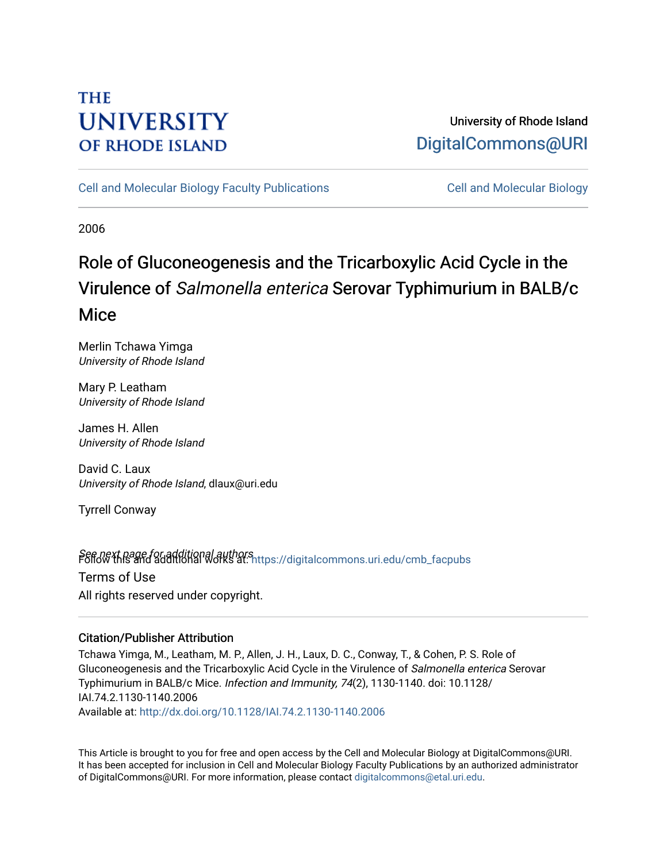# **THE UNIVERSITY OF RHODE ISLAND**

## University of Rhode Island [DigitalCommons@URI](https://digitalcommons.uri.edu/)

[Cell and Molecular Biology Faculty Publications](https://digitalcommons.uri.edu/cmb_facpubs) [Cell and Molecular Biology](https://digitalcommons.uri.edu/cmb) 

2006

# Role of Gluconeogenesis and the Tricarboxylic Acid Cycle in the Virulence of Salmonella enterica Serovar Typhimurium in BALB/c **Mice**

Merlin Tchawa Yimga University of Rhode Island

Mary P. Leatham University of Rhode Island

James H. Allen University of Rhode Island

David C. Laux University of Rhode Island, dlaux@uri.edu

Tyrrell Conway

Seff*old* this and additional authors<br>Poliommons.uri.edu/cmb\_facpubs Terms of Use All rights reserved under copyright.

### Citation/Publisher Attribution

Tchawa Yimga, M., Leatham, M. P., Allen, J. H., Laux, D. C., Conway, T., & Cohen, P. S. Role of Gluconeogenesis and the Tricarboxylic Acid Cycle in the Virulence of Salmonella enterica Serovar Typhimurium in BALB/c Mice. Infection and Immunity, 74(2), 1130-1140. doi: 10.1128/ IAI.74.2.1130-1140.2006 Available at:<http://dx.doi.org/10.1128/IAI.74.2.1130-1140.2006>

This Article is brought to you for free and open access by the Cell and Molecular Biology at DigitalCommons@URI. It has been accepted for inclusion in Cell and Molecular Biology Faculty Publications by an authorized administrator of DigitalCommons@URI. For more information, please contact [digitalcommons@etal.uri.edu](mailto:digitalcommons@etal.uri.edu).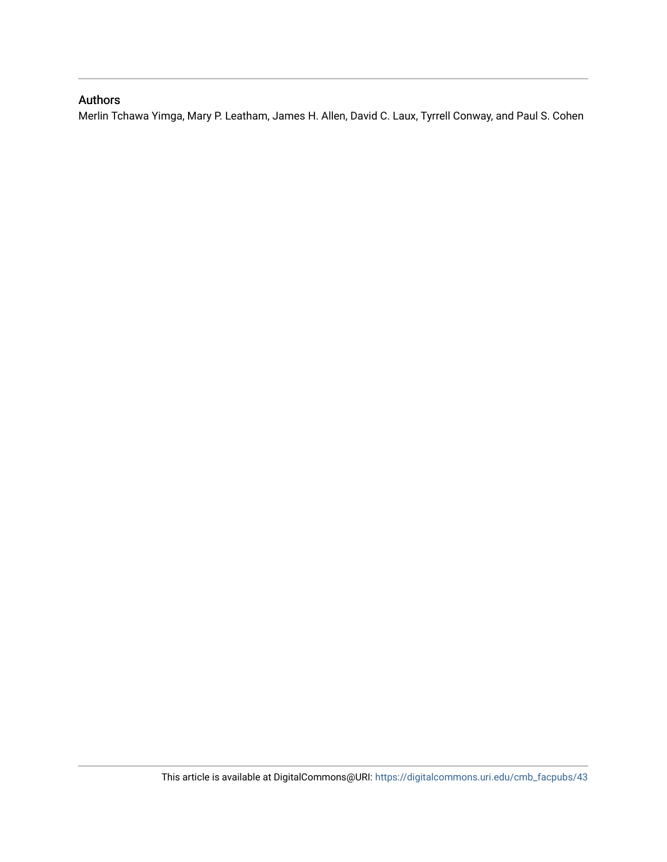### Authors

Merlin Tchawa Yimga, Mary P. Leatham, James H. Allen, David C. Laux, Tyrrell Conway, and Paul S. Cohen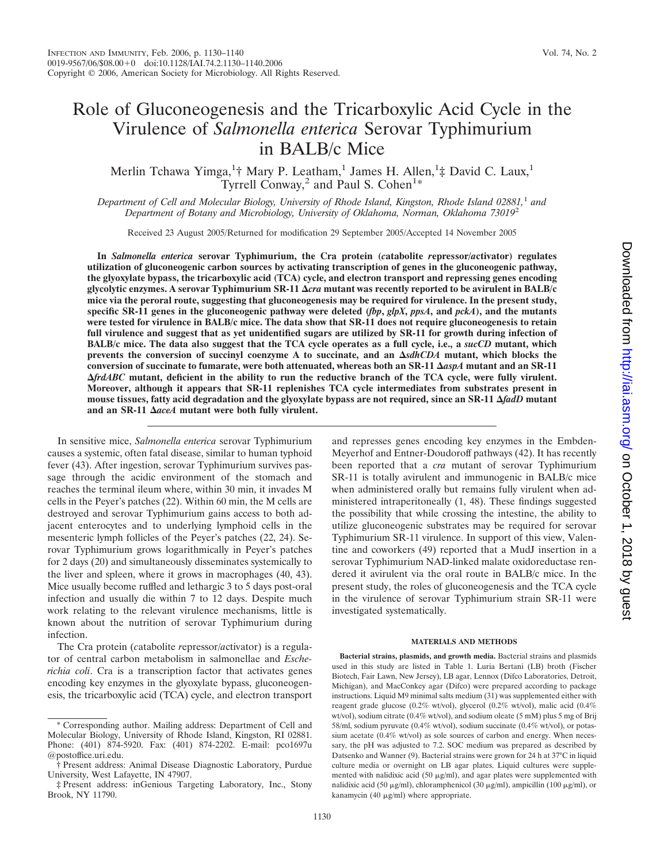## Role of Gluconeogenesis and the Tricarboxylic Acid Cycle in the Virulence of *Salmonella enterica* Serovar Typhimurium in BALB/c Mice

Merlin Tchawa Yimga,<sup>1</sup>† Mary P. Leatham,<sup>1</sup> James H. Allen,<sup>1</sup>‡ David C. Laux,<sup>1</sup> Tyrrell Conway,<sup>2</sup> and Paul S. Cohen<sup>1\*</sup>

*Department of Cell and Molecular Biology, University of Rhode Island, Kingston, Rhode Island 02881,*<sup>1</sup> *and Department of Botany and Microbiology, University of Oklahoma, Norman, Oklahoma 73019*<sup>2</sup>

Received 23 August 2005/Returned for modification 29 September 2005/Accepted 14 November 2005

**In** *Salmonella enterica* **serovar Typhimurium, the Cra protein (***c***atabolite** *r***epressor/***a***ctivator) regulates utilization of gluconeogenic carbon sources by activating transcription of genes in the gluconeogenic pathway, the glyoxylate bypass, the tricarboxylic acid (TCA) cycle, and electron transport and repressing genes encoding glycolytic enzymes. A serovar Typhimurium SR-11** *cra* **mutant was recently reported to be avirulent in BALB/c mice via the peroral route, suggesting that gluconeogenesis may be required for virulence. In the present study, specific SR-11 genes in the gluconeogenic pathway were deleted (***fbp***,** *glpX***,** *ppsA***, and** *pckA***), and the mutants were tested for virulence in BALB/c mice. The data show that SR-11 does not require gluconeogenesis to retain full virulence and suggest that as yet unidentified sugars are utilized by SR-11 for growth during infection of BALB/c mice. The data also suggest that the TCA cycle operates as a full cycle, i.e., a** *sucCD* **mutant, which prevents the conversion of succinyl coenzyme A to succinate, and an** *sdhCDA* **mutant, which blocks the conversion of succinate to fumarate, were both attenuated, whereas both an SR-11** *aspA* **mutant and an SR-11** *frdABC* **mutant, deficient in the ability to run the reductive branch of the TCA cycle, were fully virulent. Moreover, although it appears that SR-11 replenishes TCA cycle intermediates from substrates present in mouse tissues, fatty acid degradation and the glyoxylate bypass are not required, since an SR-11** *fadD* **mutant and an SR-11** *aceA* **mutant were both fully virulent.**

In sensitive mice, *Salmonella enterica* serovar Typhimurium causes a systemic, often fatal disease, similar to human typhoid fever (43). After ingestion, serovar Typhimurium survives passage through the acidic environment of the stomach and reaches the terminal ileum where, within 30 min, it invades M cells in the Peyer's patches (22). Within 60 min, the M cells are destroyed and serovar Typhimurium gains access to both adjacent enterocytes and to underlying lymphoid cells in the mesenteric lymph follicles of the Peyer's patches (22, 24). Serovar Typhimurium grows logarithmically in Peyer's patches for 2 days (20) and simultaneously disseminates systemically to the liver and spleen, where it grows in macrophages (40, 43). Mice usually become ruffled and lethargic 3 to 5 days post-oral infection and usually die within 7 to 12 days. Despite much work relating to the relevant virulence mechanisms, little is known about the nutrition of serovar Typhimurium during infection.

The Cra protein (*c*atabolite *r*epressor/*a*ctivator) is a regulator of central carbon metabolism in salmonellae and *Escherichia coli*. Cra is a transcription factor that activates genes encoding key enzymes in the glyoxylate bypass, gluconeogenesis, the tricarboxylic acid (TCA) cycle, and electron transport and represses genes encoding key enzymes in the Embden-Meyerhof and Entner-Doudoroff pathways (42). It has recently been reported that a *cra* mutant of serovar Typhimurium SR-11 is totally avirulent and immunogenic in BALB/c mice when administered orally but remains fully virulent when administered intraperitoneally (1, 48). These findings suggested the possibility that while crossing the intestine, the ability to utilize gluconeogenic substrates may be required for serovar Typhimurium SR-11 virulence. In support of this view, Valentine and coworkers (49) reported that a MudJ insertion in a serovar Typhimurium NAD-linked malate oxidoreductase rendered it avirulent via the oral route in BALB/c mice. In the present study, the roles of gluconeogenesis and the TCA cycle in the virulence of serovar Typhimurium strain SR-11 were investigated systematically.

#### **MATERIALS AND METHODS**

**Bacterial strains, plasmids, and growth media.** Bacterial strains and plasmids used in this study are listed in Table 1. Luria Bertani (LB) broth (Fischer Biotech, Fair Lawn, New Jersey), LB agar, Lennox (Difco Laboratories, Detroit, Michigan), and MacConkey agar (Difco) were prepared according to package instructions. Liquid M9 minimal salts medium (31) was supplemented either with reagent grade glucose (0.2% wt/vol), glycerol (0.2% wt/vol), malic acid (0.4% wt/vol), sodium citrate (0.4% wt/vol), and sodium oleate (5 mM) plus 5 mg of Brij 58/ml, sodium pyruvate (0.4% wt/vol), sodium succinate (0.4% wt/vol), or potassium acetate (0.4% wt/vol) as sole sources of carbon and energy. When necessary, the pH was adjusted to 7.2. SOC medium was prepared as described by Datsenko and Wanner (9). Bacterial strains were grown for 24 h at 37°C in liquid culture media or overnight on LB agar plates. Liquid cultures were supplemented with nalidixic acid (50  $\mu$ g/ml), and agar plates were supplemented with nalidixic acid (50 μg/ml), chloramphenicol (30 μg/ml), ampicillin (100 μg/ml), or kanamycin (40 µg/ml) where appropriate.

<sup>\*</sup> Corresponding author. Mailing address: Department of Cell and Molecular Biology, University of Rhode Island, Kingston, RI 02881. Phone: (401) 874-5920. Fax: (401) 874-2202. E-mail: pco1697u @postoffice.uri.edu.

<sup>†</sup> Present address: Animal Disease Diagnostic Laboratory, Purdue University, West Lafayette, IN 47907.

<sup>‡</sup> Present address: inGenious Targeting Laboratory, Inc., Stony Brook, NY 11790.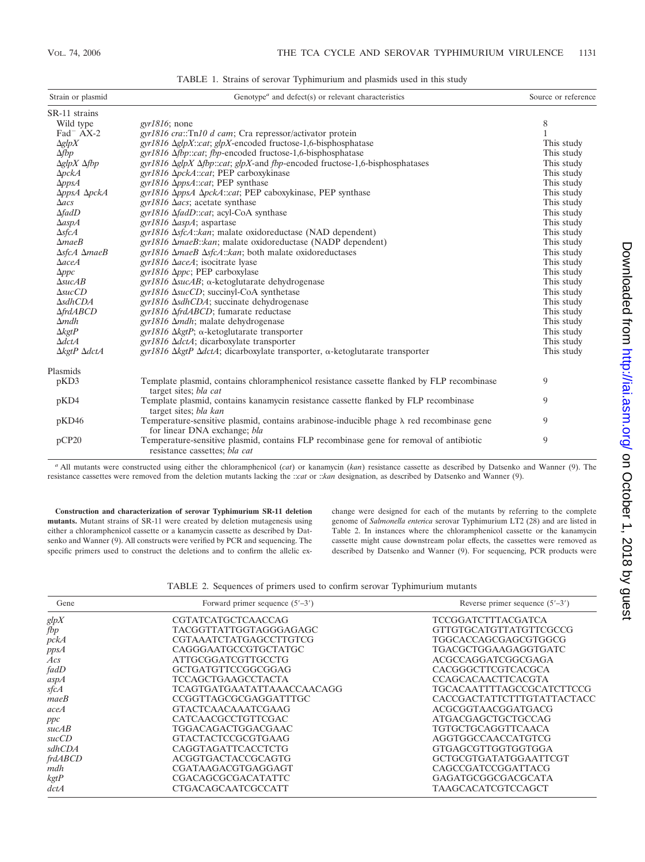| Strain or plasmid                         | Genotype <sup><math>a</math></sup> and defect(s) or relevant characteristics                                                     |            |
|-------------------------------------------|----------------------------------------------------------------------------------------------------------------------------------|------------|
| SR-11 strains                             |                                                                                                                                  |            |
| Wild type                                 | $gyr1816$ ; none                                                                                                                 | 8          |
| $\text{Fad}^-$ AX-2                       | gyr1816 cra::Tn10 d cam; Cra repressor/activator protein                                                                         |            |
| $\Delta g l p X$                          | $gyr1816 \Delta glpX::cat$ ; $glpX$ -encoded fructose-1,6-bisphosphatase                                                         | This study |
| $\Delta fbp$                              | gyr1816 Δfbp::cat; fbp-encoded fructose-1,6-bisphosphatase                                                                       | This study |
| $\Delta g l p X \Delta f b p$             | gyr1816 ΔglpX Δfbp::cat; glpX-and fbp-encoded fructose-1,6-bisphosphatases                                                       | This study |
| $\Delta pckA$                             | gyr1816 ΔpckA::cat; PEP carboxykinase                                                                                            | This study |
| $\Delta p p s A$                          | gyr1816 ΔppsA::cat; PEP synthase                                                                                                 | This study |
| AppsA ApckA                               | gyr1816 ΔppsA ΔpckA::cat; PEP caboxykinase, PEP synthase                                                                         | This study |
| $\Delta$ acs                              | gyr1816 $\Delta$ acs; acetate synthase                                                                                           | This study |
| $\Delta$ fadD                             | gyr1816 ΔfadD::cat; acyl-CoA synthase                                                                                            | This study |
| $\Delta$ asp $\cal{A}$                    | gyr1816 $\Delta$ aspA; aspartase                                                                                                 | This study |
| $\Delta s$ fcA                            | $gyr1816 \Delta sfcA::kan$ ; malate oxidoreductase (NAD dependent)                                                               | This study |
| $\Delta$ <i>mae</i> $B$                   | $gyr1816 \Delta maeB::kan$ ; malate oxidoreductase (NADP dependent)                                                              | This study |
| $\Delta$ sfcA $\Delta$ maeB               | gyr1816 $\Delta$ maeB $\Delta$ sfcA::kan; both malate oxidoreductases                                                            | This study |
| $\Delta$ aceA                             | gyr1816 $\Delta$ aceA; isocitrate lyase                                                                                          | This study |
| $\Delta ppc$                              | gyr1816 $\Delta ppc$ ; PEP carboxylase                                                                                           | This study |
| $\triangle$ suc $AB$                      | gyr1816 $\Delta$ sucAB; α-ketoglutarate dehydrogenase                                                                            | This study |
| $\triangle succ$                          | $gyr1816$ $\Delta succD$ ; succinyl-CoA synthetase                                                                               | This study |
| $\Delta$ sdhCDA                           | $gyr1816 \Delta s dhCDA$ ; succinate dehydrogenase                                                                               | This study |
| $\triangle f r dABCD$                     | gyr1816 ΔfrdABCD; fumarate reductase                                                                                             | This study |
| $\Delta$ <i>mdh</i>                       | $gyr1816 \Delta mdh$ ; malate dehydrogenase                                                                                      | This study |
| $\Delta$ <i>kgtP</i>                      | gyr1816 ΔkgtP; $\alpha$ -ketoglutarate transporter                                                                               | This study |
| $\Delta dctA$                             | $gyr1816 \Delta dctA$ ; dicarboxylate transporter                                                                                | This study |
| $\Delta$ <i>kgtP</i> $\Delta$ <i>dctA</i> | gyr1816 ΔkgtP $\Delta$ dctA; dicarboxylate transporter, α-ketoglutarate transporter                                              | This study |
| Plasmids                                  |                                                                                                                                  |            |
| pKD3                                      | Template plasmid, contains chloramphenicol resistance cassette flanked by FLP recombinase<br>target sites; bla cat               | 9          |
| pKD4                                      | Template plasmid, contains kanamycin resistance cassette flanked by FLP recombinase<br>target sites; bla kan                     | 9          |
| pKD46                                     | Temperature-sensitive plasmid, contains arabinose-inducible phage $\lambda$ red recombinase gene<br>for linear DNA exchange; bla | 9          |
| pCP20                                     | Temperature-sensitive plasmid, contains FLP recombinase gene for removal of antibiotic<br>resistance cassettes; bla cat          | 9          |

TABLE 1. Strains of serovar Typhimurium and plasmids used in this study

*<sup>a</sup>* All mutants were constructed using either the chloramphenicol (*cat*) or kanamycin (*kan*) resistance cassette as described by Datsenko and Wanner (9). The resistance cassettes were removed from the deletion mutants lacking the ::*cat* or ::*kan* designation, as described by Datsenko and Wanner (9).

**Construction and characterization of serovar Typhimurium SR-11 deletion mutants.** Mutant strains of SR-11 were created by deletion mutagenesis using either a chloramphenicol cassette or a kanamycin cassette as described by Datsenko and Wanner (9). All constructs were verified by PCR and sequencing. The specific primers used to construct the deletions and to confirm the allelic exchange were designed for each of the mutants by referring to the complete genome of *Salmonella enterica* serovar Typhimurium LT2 (28) and are listed in Table 2. In instances where the chloramphenicol cassette or the kanamycin cassette might cause downstream polar effects, the cassettes were removed as described by Datsenko and Wanner (9). For sequencing, PCR products were

TABLE 2. Sequences of primers used to confirm serovar Typhimurium mutants

| Gene              | Forward primer sequence $(5'–3')$ | Reverse primer sequence $(5'–3')$ |
|-------------------|-----------------------------------|-----------------------------------|
| glpX              | <b>CGTATCATGCTCAACCAG</b>         | <b>TCCGGATCTTTACGATCA</b>         |
| fbp               | <b>TACGGTTATTGGTAGGGAGAGC</b>     | GTTGTGCATGTTATGTTCGCCG            |
| pckA              | <b>CGTAAATCTATGAGCCTTGTCG</b>     | TGGCACCAGCGAGCGTGGCG              |
| ppsA              | CAGGGAATGCCGTGCTATGC              | TGACGCTGGAAGAGGTGATC              |
| $\overline{A}$ cs | ATTGCGGATCGTTGCCTG                | ACGCCAGGATCGGCGAGA                |
| fadD              | GCTGATGTTCCGGCGGAG                | CACGGGCTTCGTCACGCA                |
| aspA              | <b>TCCAGCTGAAGCCTACTA</b>         | <b>CCAGCACAACTTCACGTA</b>         |
| sfcA              | <b>TCAGTGATGAATATTAAACCAACAGG</b> | TGCACAATTTTAGCCGCATCTTCCG         |
| maeB              | CCGGTTAGCGCGAGGATTTGC             | CACCGACTATTCTTTGTATTACTACC        |
| aceA              | <b>GTACTCAACAAATCGAAG</b>         | ACGCGGTAACGGATGACG                |
| ppc               | CATCAACGCCTGTTCGAC                | <b>ATGACGAGCTGCTGCCAG</b>         |
| succAB            | <b>TGGACAGACTGGACGAAC</b>         | <b>TGTGCTGCAGGTTCAACA</b>         |
| succCD            | <b>GTACTACTCCGCGTGAAG</b>         | AGGTGGCCAACCATGTCG                |
| sdhCDA            | CAGGTAGATTCACCTCTG                | GTGAGCGTTGGTGGTGGA                |
| frdABCD           | ACGGTGACTACCGCAGTG                | GCTGCGTGATATGGAATTCGT             |
| mdh               | CGATAAGACGTGAGGAGT                | CAGCCGATCCGGATTACG                |
| kgtP              | <b>CGACAGCGCGACATATTC</b>         | GAGATGCGGCGACGCATA                |
| dctA              | <b>CTGACAGCAATCGCCATT</b>         | TAAGCACATCGTCCAGCT                |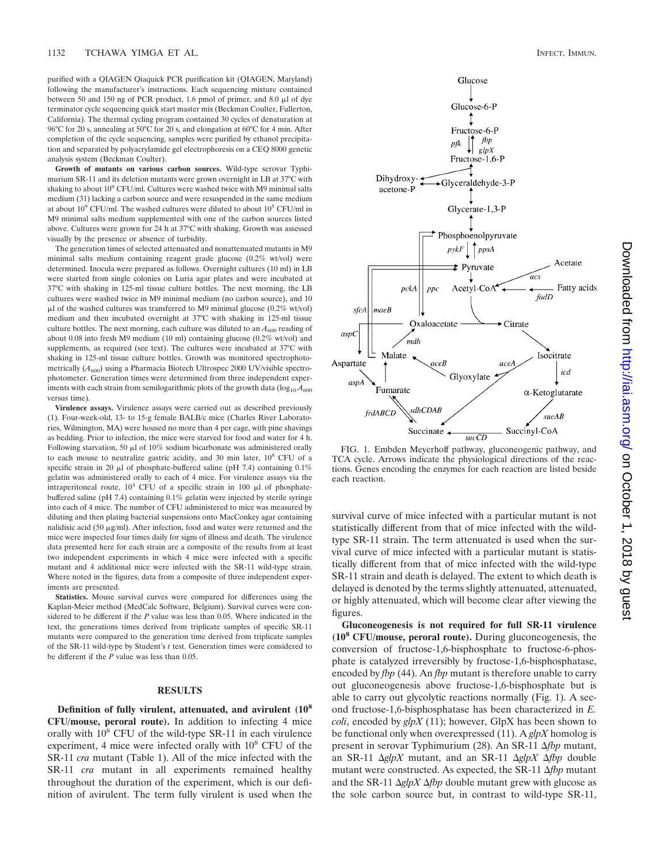purified with a QIAGEN Qiaquick PCR purification kit (QIAGEN, Maryland) following the manufacturer's instructions. Each sequencing mixture contained between 50 and 150 ng of PCR product, 1.6 pmol of primer, and 8.0  $\mu$ l of dye terminator cycle sequencing quick start master mix (Beckman Coulter, Fullerton, California). The thermal cycling program contained 30 cycles of denaturation at 96°C for 20 s, annealing at 50°C for 20 s, and elongation at 60°C for 4 min. After completion of the cycle sequencing, samples were purified by ethanol precipitation and separated by polyacrylamide gel electrophoresis on a CEQ 8000 genetic analysis system (Beckman Coulter).

**Growth of mutants on various carbon sources.** Wild-type serovar Typhimurium SR-11 and its deletion mutants were grown overnight in LB at 37°C with shaking to about  $10^9$  CFU/ml. Cultures were washed twice with M9 minimal salts medium (31) lacking a carbon source and were resuspended in the same medium at about  $10^9$  CFU/ml. The washed cultures were diluted to about  $10^5$  CFU/ml in M9 minimal salts medium supplemented with one of the carbon sources listed above. Cultures were grown for 24 h at 37°C with shaking. Growth was assessed visually by the presence or absence of turbidity.

The generation times of selected attenuated and nonattenuated mutants in M9 minimal salts medium containing reagent grade glucose (0.2% wt/vol) were determined. Inocula were prepared as follows. Overnight cultures (10 ml) in LB were started from single colonies on Luria agar plates and were incubated at 37°C with shaking in 125-ml tissue culture bottles. The next morning, the LB cultures were washed twice in M9 minimal medium (no carbon source), and 10 -l of the washed cultures was transferred to M9 minimal glucose (0.2% wt/vol) medium and then incubated overnight at 37°C with shaking in 125-ml tissue culture bottles. The next morning, each culture was diluted to an  $A_{600}$  reading of about 0.08 into fresh M9 medium (10 ml) containing glucose (0.2% wt/vol) and supplements, as required (see text). The cultures were incubated at 37°C with shaking in 125-ml tissue culture bottles. Growth was monitored spectrophotometrically  $(A_{600})$  using a Pharmacia Biotech Ultrospec 2000 UV/visible spectrophotometer. Generation times were determined from three independent experiments with each strain from semilogarithmic plots of the growth data  $(\log_{10} A_{600})$ versus time).

**Virulence assays.** Virulence assays were carried out as described previously (1). Four-week-old, 13- to 15-g female BALB/c mice (Charles River Laboratories, Wilmington, MA) were housed no more than 4 per cage, with pine shavings as bedding. Prior to infection, the mice were starved for food and water for 4 h. Following starvation, 50  $\mu$ l of 10% sodium bicarbonate was administered orally to each mouse to neutralize gastric acidity, and 30 min later, 10<sup>8</sup> CFU of a specific strain in 20  $\mu$ l of phosphate-buffered saline (pH 7.4) containing 0.1% gelatin was administered orally to each of 4 mice. For virulence assays via the intraperitoneal route,  $10^3$  CFU of a specific strain in 100  $\mu$ l of phosphatebuffered saline (pH 7.4) containing 0.1% gelatin were injected by sterile syringe into each of 4 mice. The number of CFU administered to mice was measured by diluting and then plating bacterial suspensions onto MacConkey agar containing nalidixic acid (50  $\mu$ g/ml). After infection, food and water were returned and the mice were inspected four times daily for signs of illness and death. The virulence data presented here for each strain are a composite of the results from at least two independent experiments in which 4 mice were infected with a specific mutant and 4 additional mice were infected with the SR-11 wild-type strain. Where noted in the figures, data from a composite of three independent experiments are presented.

**Statistics.** Mouse survival curves were compared for differences using the Kaplan-Meier method (MedCalc Software, Belgium). Survival curves were considered to be different if the *P* value was less than 0.05. Where indicated in the text, the generations times derived from triplicate samples of specific SR-11 mutants were compared to the generation time derived from triplicate samples of the SR-11 wild-type by Student's *t* test. Generation times were considered to be different if the *P* value was less than 0.05.

#### **RESULTS**

**Definition of fully virulent, attenuated, and avirulent (108 CFU/mouse, peroral route).** In addition to infecting 4 mice orally with  $10^8$  CFU of the wild-type SR-11 in each virulence experiment, 4 mice were infected orally with  $10^8$  CFU of the SR-11 *cra* mutant (Table 1). All of the mice infected with the SR-11 *cra* mutant in all experiments remained healthy throughout the duration of the experiment, which is our definition of avirulent. The term fully virulent is used when the





FIG. 1. Embden Meyerhoff pathway, gluconeogenic pathway, and TCA cycle. Arrows indicate the physiological directions of the reactions. Genes encoding the enzymes for each reaction are listed beside each reaction.

survival curve of mice infected with a particular mutant is not statistically different from that of mice infected with the wildtype SR-11 strain. The term attenuated is used when the survival curve of mice infected with a particular mutant is statistically different from that of mice infected with the wild-type SR-11 strain and death is delayed. The extent to which death is delayed is denoted by the terms slightly attenuated, attenuated, or highly attenuated, which will become clear after viewing the figures.

**Gluconeogenesis is not required for full SR-11 virulence (108 CFU/mouse, peroral route).** During gluconeogenesis, the conversion of fructose-1,6-bisphosphate to fructose-6-phosphate is catalyzed irreversibly by fructose-1,6-bisphosphatase, encoded by *fbp* (44). An *fbp* mutant is therefore unable to carry out gluconeogenesis above fructose-1,6-bisphosphate but is able to carry out glycolytic reactions normally (Fig. 1). A second fructose-1,6-bisphosphatase has been characterized in *E. coli*, encoded by *glpX* (11); however, GlpX has been shown to be functional only when overexpressed (11). A *glpX* homolog is present in serovar Typhimurium (28). An SR-11  $\Delta fbp$  mutant, an SR-11  $\Delta g/pX$  mutant, and an SR-11  $\Delta g/pX \Delta fbp$  double mutant were constructed. As expected, the SR-11 *fbp* mutant and the SR-11  $\Delta g l p X \Delta f b p$  double mutant grew with glucose as the sole carbon source but, in contrast to wild-type SR-11,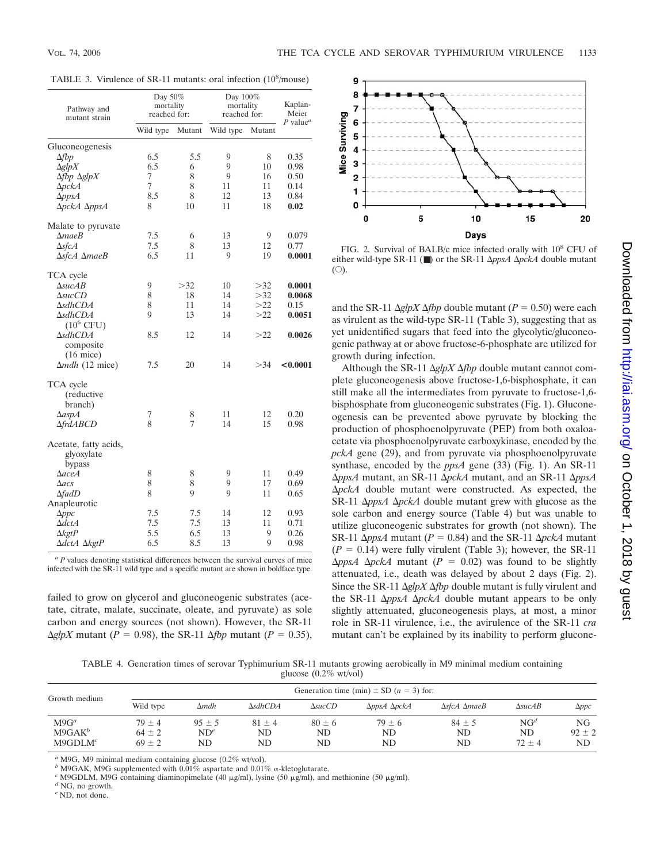|  | TABLE 3. Virulence of SR-11 mutants: oral infection (10 <sup>8</sup> /mouse) |  |  |  |  |
|--|------------------------------------------------------------------------------|--|--|--|--|
|--|------------------------------------------------------------------------------|--|--|--|--|

| Wild type<br>Mutant<br>Wild type<br>Mutant<br>Gluconeogenesis<br>5.5<br>8<br>6.5<br>9<br>0.35<br>$\Delta fbp$<br>9<br>$\Delta$ glp $X$<br>6.5<br>6<br>10<br>0.98<br>7<br>8<br>9<br>0.50<br>$\Delta$ fbp $\Delta$ glpX<br>16<br>7<br>8<br>$\Delta pckA$<br>11<br>11<br>0.14<br>8.5<br>8<br>12<br>13<br>$\Delta p p s A$<br>0.84<br>ΔpckA ΔppsA<br>8<br>10<br>18<br>11<br>0.02<br>Malate to pyruvate<br>7.5<br>$\triangle$ <i>mae</i> $B$<br>6<br>13<br>9<br>0.079<br>7.5<br>$\Delta$ sfcA<br>8<br>13<br>12<br>0.77<br>6.5<br>$\Delta$ sfcA $\Delta$ maeB<br>9<br>19<br>0.0001<br>11<br>TCA cycle<br>9<br>$\triangle$ suc $AB$<br>>32<br>10<br>>32<br>0.0001<br>8<br>$\triangle succCD$<br>18<br>>32<br>0.0068<br>14<br>8<br>>22<br>$\Delta$ sdhCDA<br>11<br>14<br>0.15<br>9<br>13<br>>22<br>$\Delta$ sdhCDA<br>14<br>0.0051<br>$(10^6$ CFU)<br>$\Delta$ sdhCDA<br>8.5<br>12<br>>22<br>0.0026<br>14<br>composite<br>$(16$ mice)<br>$\Delta$ mdh (12 mice)<br>7.5<br>>34<br>20<br>14<br>< 0.0001<br>TCA cycle<br>(reductive<br>branch)<br>7<br>11<br>12<br>0.20<br>$\Delta$ aspA<br>8<br>8<br><b>AfrdABCD</b><br>7<br>14<br>15<br>0.98<br>Acetate, fatty acids,<br>glyoxylate<br>bypass<br>8<br>8<br>9<br>11<br>0.49<br>$\Delta$ aceA<br>8<br>8<br>9<br>17<br>0.69<br>$\Delta$ acs<br>8<br>9<br>9<br>11<br>$\Delta$ fadD<br>0.65<br>Anapleurotic<br>7.5<br>7.5<br>12<br>14<br>0.93<br>$\Delta ppc$<br>7.5<br>7.5<br>$\Delta dctA$<br>13<br>11<br>0.71<br>5.5<br>6.5<br>$\Delta$ <i>kgtP</i><br>13<br>9<br>0.26<br>6.5<br>9<br>ΔdctA ΔkgtP<br>8.5<br>13<br>0.98 | Pathway and<br>mutant strain | Day 50%<br>mortality<br>reached for: | Day 100%<br>mortality<br>reached for: |  | Kaplan-<br>Meier                    |  |
|-------------------------------------------------------------------------------------------------------------------------------------------------------------------------------------------------------------------------------------------------------------------------------------------------------------------------------------------------------------------------------------------------------------------------------------------------------------------------------------------------------------------------------------------------------------------------------------------------------------------------------------------------------------------------------------------------------------------------------------------------------------------------------------------------------------------------------------------------------------------------------------------------------------------------------------------------------------------------------------------------------------------------------------------------------------------------------------------------------------------------------------------------------------------------------------------------------------------------------------------------------------------------------------------------------------------------------------------------------------------------------------------------------------------------------------------------------------------------------------------------------------------------------------------------------------|------------------------------|--------------------------------------|---------------------------------------|--|-------------------------------------|--|
|                                                                                                                                                                                                                                                                                                                                                                                                                                                                                                                                                                                                                                                                                                                                                                                                                                                                                                                                                                                                                                                                                                                                                                                                                                                                                                                                                                                                                                                                                                                                                             |                              |                                      |                                       |  | $P$ value <sup><math>a</math></sup> |  |
|                                                                                                                                                                                                                                                                                                                                                                                                                                                                                                                                                                                                                                                                                                                                                                                                                                                                                                                                                                                                                                                                                                                                                                                                                                                                                                                                                                                                                                                                                                                                                             |                              |                                      |                                       |  |                                     |  |
|                                                                                                                                                                                                                                                                                                                                                                                                                                                                                                                                                                                                                                                                                                                                                                                                                                                                                                                                                                                                                                                                                                                                                                                                                                                                                                                                                                                                                                                                                                                                                             |                              |                                      |                                       |  |                                     |  |
|                                                                                                                                                                                                                                                                                                                                                                                                                                                                                                                                                                                                                                                                                                                                                                                                                                                                                                                                                                                                                                                                                                                                                                                                                                                                                                                                                                                                                                                                                                                                                             |                              |                                      |                                       |  |                                     |  |
|                                                                                                                                                                                                                                                                                                                                                                                                                                                                                                                                                                                                                                                                                                                                                                                                                                                                                                                                                                                                                                                                                                                                                                                                                                                                                                                                                                                                                                                                                                                                                             |                              |                                      |                                       |  |                                     |  |
|                                                                                                                                                                                                                                                                                                                                                                                                                                                                                                                                                                                                                                                                                                                                                                                                                                                                                                                                                                                                                                                                                                                                                                                                                                                                                                                                                                                                                                                                                                                                                             |                              |                                      |                                       |  |                                     |  |
|                                                                                                                                                                                                                                                                                                                                                                                                                                                                                                                                                                                                                                                                                                                                                                                                                                                                                                                                                                                                                                                                                                                                                                                                                                                                                                                                                                                                                                                                                                                                                             |                              |                                      |                                       |  |                                     |  |
|                                                                                                                                                                                                                                                                                                                                                                                                                                                                                                                                                                                                                                                                                                                                                                                                                                                                                                                                                                                                                                                                                                                                                                                                                                                                                                                                                                                                                                                                                                                                                             |                              |                                      |                                       |  |                                     |  |
|                                                                                                                                                                                                                                                                                                                                                                                                                                                                                                                                                                                                                                                                                                                                                                                                                                                                                                                                                                                                                                                                                                                                                                                                                                                                                                                                                                                                                                                                                                                                                             |                              |                                      |                                       |  |                                     |  |
|                                                                                                                                                                                                                                                                                                                                                                                                                                                                                                                                                                                                                                                                                                                                                                                                                                                                                                                                                                                                                                                                                                                                                                                                                                                                                                                                                                                                                                                                                                                                                             |                              |                                      |                                       |  |                                     |  |
|                                                                                                                                                                                                                                                                                                                                                                                                                                                                                                                                                                                                                                                                                                                                                                                                                                                                                                                                                                                                                                                                                                                                                                                                                                                                                                                                                                                                                                                                                                                                                             |                              |                                      |                                       |  |                                     |  |
|                                                                                                                                                                                                                                                                                                                                                                                                                                                                                                                                                                                                                                                                                                                                                                                                                                                                                                                                                                                                                                                                                                                                                                                                                                                                                                                                                                                                                                                                                                                                                             |                              |                                      |                                       |  |                                     |  |
|                                                                                                                                                                                                                                                                                                                                                                                                                                                                                                                                                                                                                                                                                                                                                                                                                                                                                                                                                                                                                                                                                                                                                                                                                                                                                                                                                                                                                                                                                                                                                             |                              |                                      |                                       |  |                                     |  |
|                                                                                                                                                                                                                                                                                                                                                                                                                                                                                                                                                                                                                                                                                                                                                                                                                                                                                                                                                                                                                                                                                                                                                                                                                                                                                                                                                                                                                                                                                                                                                             |                              |                                      |                                       |  |                                     |  |
|                                                                                                                                                                                                                                                                                                                                                                                                                                                                                                                                                                                                                                                                                                                                                                                                                                                                                                                                                                                                                                                                                                                                                                                                                                                                                                                                                                                                                                                                                                                                                             |                              |                                      |                                       |  |                                     |  |
|                                                                                                                                                                                                                                                                                                                                                                                                                                                                                                                                                                                                                                                                                                                                                                                                                                                                                                                                                                                                                                                                                                                                                                                                                                                                                                                                                                                                                                                                                                                                                             |                              |                                      |                                       |  |                                     |  |
|                                                                                                                                                                                                                                                                                                                                                                                                                                                                                                                                                                                                                                                                                                                                                                                                                                                                                                                                                                                                                                                                                                                                                                                                                                                                                                                                                                                                                                                                                                                                                             |                              |                                      |                                       |  |                                     |  |
|                                                                                                                                                                                                                                                                                                                                                                                                                                                                                                                                                                                                                                                                                                                                                                                                                                                                                                                                                                                                                                                                                                                                                                                                                                                                                                                                                                                                                                                                                                                                                             |                              |                                      |                                       |  |                                     |  |
|                                                                                                                                                                                                                                                                                                                                                                                                                                                                                                                                                                                                                                                                                                                                                                                                                                                                                                                                                                                                                                                                                                                                                                                                                                                                                                                                                                                                                                                                                                                                                             |                              |                                      |                                       |  |                                     |  |
|                                                                                                                                                                                                                                                                                                                                                                                                                                                                                                                                                                                                                                                                                                                                                                                                                                                                                                                                                                                                                                                                                                                                                                                                                                                                                                                                                                                                                                                                                                                                                             |                              |                                      |                                       |  |                                     |  |
|                                                                                                                                                                                                                                                                                                                                                                                                                                                                                                                                                                                                                                                                                                                                                                                                                                                                                                                                                                                                                                                                                                                                                                                                                                                                                                                                                                                                                                                                                                                                                             |                              |                                      |                                       |  |                                     |  |
|                                                                                                                                                                                                                                                                                                                                                                                                                                                                                                                                                                                                                                                                                                                                                                                                                                                                                                                                                                                                                                                                                                                                                                                                                                                                                                                                                                                                                                                                                                                                                             |                              |                                      |                                       |  |                                     |  |
|                                                                                                                                                                                                                                                                                                                                                                                                                                                                                                                                                                                                                                                                                                                                                                                                                                                                                                                                                                                                                                                                                                                                                                                                                                                                                                                                                                                                                                                                                                                                                             |                              |                                      |                                       |  |                                     |  |
|                                                                                                                                                                                                                                                                                                                                                                                                                                                                                                                                                                                                                                                                                                                                                                                                                                                                                                                                                                                                                                                                                                                                                                                                                                                                                                                                                                                                                                                                                                                                                             |                              |                                      |                                       |  |                                     |  |
|                                                                                                                                                                                                                                                                                                                                                                                                                                                                                                                                                                                                                                                                                                                                                                                                                                                                                                                                                                                                                                                                                                                                                                                                                                                                                                                                                                                                                                                                                                                                                             |                              |                                      |                                       |  |                                     |  |
|                                                                                                                                                                                                                                                                                                                                                                                                                                                                                                                                                                                                                                                                                                                                                                                                                                                                                                                                                                                                                                                                                                                                                                                                                                                                                                                                                                                                                                                                                                                                                             |                              |                                      |                                       |  |                                     |  |
|                                                                                                                                                                                                                                                                                                                                                                                                                                                                                                                                                                                                                                                                                                                                                                                                                                                                                                                                                                                                                                                                                                                                                                                                                                                                                                                                                                                                                                                                                                                                                             |                              |                                      |                                       |  |                                     |  |
|                                                                                                                                                                                                                                                                                                                                                                                                                                                                                                                                                                                                                                                                                                                                                                                                                                                                                                                                                                                                                                                                                                                                                                                                                                                                                                                                                                                                                                                                                                                                                             |                              |                                      |                                       |  |                                     |  |
|                                                                                                                                                                                                                                                                                                                                                                                                                                                                                                                                                                                                                                                                                                                                                                                                                                                                                                                                                                                                                                                                                                                                                                                                                                                                                                                                                                                                                                                                                                                                                             |                              |                                      |                                       |  |                                     |  |
|                                                                                                                                                                                                                                                                                                                                                                                                                                                                                                                                                                                                                                                                                                                                                                                                                                                                                                                                                                                                                                                                                                                                                                                                                                                                                                                                                                                                                                                                                                                                                             |                              |                                      |                                       |  |                                     |  |
|                                                                                                                                                                                                                                                                                                                                                                                                                                                                                                                                                                                                                                                                                                                                                                                                                                                                                                                                                                                                                                                                                                                                                                                                                                                                                                                                                                                                                                                                                                                                                             |                              |                                      |                                       |  |                                     |  |

*<sup>a</sup> P* values denoting statistical differences between the survival curves of mice infected with the SR-11 wild type and a specific mutant are shown in boldface type.

failed to grow on glycerol and gluconeogenic substrates (acetate, citrate, malate, succinate, oleate, and pyruvate) as sole carbon and energy sources (not shown). However, the SR-11  $\Delta g/pX$  mutant (*P* = 0.98), the SR-11  $\Delta fbp$  mutant (*P* = 0.35),



FIG. 2. Survival of BALB/c mice infected orally with  $10^8$  CFU of either wild-type SR-11 (■) or the SR-11 Δ*ppsA* Δ*pckA* double mutant  $(O).$ 

and the SR-11  $\Delta g/pX \Delta fbp$  double mutant ( $P = 0.50$ ) were each as virulent as the wild-type SR-11 (Table 3), suggesting that as yet unidentified sugars that feed into the glycolytic/gluconeogenic pathway at or above fructose-6-phosphate are utilized for growth during infection.

Although the SR-11  $\Delta g/pX \Delta fbp$  double mutant cannot complete gluconeogenesis above fructose-1,6-bisphosphate, it can still make all the intermediates from pyruvate to fructose-1,6 bisphosphate from gluconeogenic substrates (Fig. 1). Gluconeogenesis can be prevented above pyruvate by blocking the production of phosphoenolpyruvate (PEP) from both oxaloacetate via phosphoenolpyruvate carboxykinase, encoded by the *pckA* gene (29), and from pyruvate via phosphoenolpyruvate synthase, encoded by the *ppsA* gene (33) (Fig. 1). An SR-11  $\Delta p$ *psA* mutant, an SR-11  $\Delta p$ *ckA* mutant, and an SR-11  $\Delta p$ *psA pckA* double mutant were constructed. As expected, the SR-11  $\Delta p$ psA  $\Delta p$ ckA double mutant grew with glucose as the sole carbon and energy source (Table 4) but was unable to utilize gluconeogenic substrates for growth (not shown). The SR-11  $\Delta ppsA$  mutant ( $P = 0.84$ ) and the SR-11  $\Delta pckA$  mutant  $(P = 0.14)$  were fully virulent (Table 3); however, the SR-11  $\Delta p$ *psA*  $\Delta p$ *ckA* mutant (*P* = 0.02) was found to be slightly attenuated, i.e., death was delayed by about 2 days (Fig. 2). Since the SR-11  $\Delta g/pX \Delta fbp$  double mutant is fully virulent and the SR-11  $\Delta p$ *psA*  $\Delta p$ *ckA* double mutant appears to be only slightly attenuated, gluconeogenesis plays, at most, a minor role in SR-11 virulence, i.e., the avirulence of the SR-11 *cra* mutant can't be explained by its inability to perform gluconeon October 1, 2018 by guest <http://iai.asm.org/> Downloaded from

Downloaded from http://iai.asm.org/ on October 1, 2018 by guest

TABLE 4. Generation times of serovar Typhimurium SR-11 mutants growing aerobically in M9 minimal medium containing glucose (0.2% wt/vol)

| Growth medium                               |                                        | Generation time (min) $\pm$ SD (n = 3) for: |                        |                        |                                   |                               |                                      |                        |  |
|---------------------------------------------|----------------------------------------|---------------------------------------------|------------------------|------------------------|-----------------------------------|-------------------------------|--------------------------------------|------------------------|--|
|                                             | Wild type                              | $\Delta mdh$                                | $\Delta$ sdhCDA        | $\triangle succ$       | $\Delta p$ ps $A \Delta p$ ck $A$ | $\Delta$ sfcA $\Delta$ maeB   | $\triangle$ suc $AB$                 | $\Delta ppc$           |  |
| $M9G^a$<br>$M9GAK^b$<br>M9GDLM <sup>c</sup> | $79 \pm 4$<br>$64 \pm 2$<br>$69 \pm 2$ | $95 \pm 5$<br>$ND^e$<br>ND                  | $81 \pm 4$<br>ND<br>ND | $80 \pm 6$<br>ND<br>ND | $79 \pm 6$<br><b>ND</b><br>ND     | $84 \pm 5$<br><b>ND</b><br>ND | NG <sup>d</sup><br>ND.<br>$72 \pm 4$ | NG<br>$92 \pm 2$<br>ND |  |

*<sup>a</sup>* M9G, M9 minimal medium containing glucose (0.2% wt/vol).

*b* M9GAK, M9G supplemented with  $0.01\%$  aspartate and  $0.01\%$   $\alpha$ -kletoglutarate. *c* M9GDLM, M9G containing diaminopimelate (40  $\mu$ g/ml), lysine (50  $\mu$ g/ml), and *d* NG, no growth. <sup>c</sup> M9GDLM, M9G containing diaminopimelate (40 μg/ml), lysine (50 μg/ml), and methionine (50 μg/ml).<br><sup>d</sup> NG, no growth.

*<sup>e</sup>* ND, not done.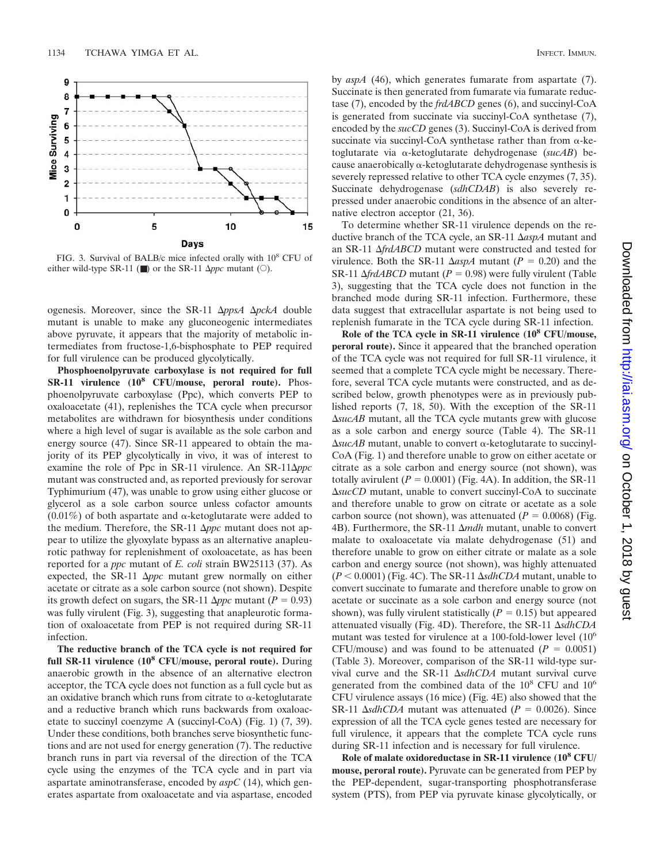

FIG. 3. Survival of BALB/c mice infected orally with 108 CFU of either wild-type SR-11 ( $\blacksquare$ ) or the SR-11  $\Delta ppc$  mutant ( $\bigcirc$ ).

ogenesis. Moreover, since the SR-11 ΔppsA ΔpckA double mutant is unable to make any gluconeogenic intermediates above pyruvate, it appears that the majority of metabolic intermediates from fructose-1,6-bisphosphate to PEP required for full virulence can be produced glycolytically.

**Phosphoenolpyruvate carboxylase is not required for full SR-11 virulence (108 CFU/mouse, peroral route).** Phosphoenolpyruvate carboxylase (Ppc), which converts PEP to oxaloacetate (41), replenishes the TCA cycle when precursor metabolites are withdrawn for biosynthesis under conditions where a high level of sugar is available as the sole carbon and energy source (47). Since SR-11 appeared to obtain the majority of its PEP glycolytically in vivo, it was of interest to examine the role of Ppc in SR-11 virulence. An  $SR-11\Delta ppc$ mutant was constructed and, as reported previously for serovar Typhimurium (47), was unable to grow using either glucose or glycerol as a sole carbon source unless cofactor amounts  $(0.01\%)$  of both aspartate and  $\alpha$ -ketoglutarate were added to the medium. Therefore, the SR-11  $\Delta ppc$  mutant does not appear to utilize the glyoxylate bypass as an alternative anapleurotic pathway for replenishment of oxoloacetate, as has been reported for a *ppc* mutant of *E. coli* strain BW25113 (37). As expected, the SR-11  $\Delta ppc$  mutant grew normally on either acetate or citrate as a sole carbon source (not shown). Despite its growth defect on sugars, the SR-11  $\Delta ppc$  mutant ( $P = 0.93$ ) was fully virulent (Fig. 3), suggesting that anapleurotic formation of oxaloacetate from PEP is not required during SR-11 infection.

**The reductive branch of the TCA cycle is not required for full SR-11 virulence (108 CFU/mouse, peroral route).** During anaerobic growth in the absence of an alternative electron acceptor, the TCA cycle does not function as a full cycle but as an oxidative branch which runs from citrate to  $\alpha$ -ketoglutarate and a reductive branch which runs backwards from oxaloacetate to succinyl coenzyme A (succinyl-CoA) (Fig. 1) (7, 39). Under these conditions, both branches serve biosynthetic functions and are not used for energy generation (7). The reductive branch runs in part via reversal of the direction of the TCA cycle using the enzymes of the TCA cycle and in part via aspartate aminotransferase, encoded by *aspC* (14), which generates aspartate from oxaloacetate and via aspartase, encoded

by *aspA* (46), which generates fumarate from aspartate (7). Succinate is then generated from fumarate via fumarate reductase (7), encoded by the *frdABCD* genes (6), and succinyl-CoA is generated from succinate via succinyl-CoA synthetase (7), encoded by the *sucCD* genes (3). Succinyl-CoA is derived from succinate via succinyl-CoA synthetase rather than from  $\alpha$ -ketoglutarate via -ketoglutarate dehydrogenase (*sucAB*) because anaerobically  $\alpha$ -ketoglutarate dehydrogenase synthesis is severely repressed relative to other TCA cycle enzymes (7, 35). Succinate dehydrogenase (*sdhCDAB*) is also severely repressed under anaerobic conditions in the absence of an alternative electron acceptor (21, 36).

To determine whether SR-11 virulence depends on the reductive branch of the TCA cycle, an SR-11 *aspA* mutant and an SR-11 *frdABCD* mutant were constructed and tested for virulence. Both the SR-11  $\Delta$ *aspA* mutant (*P* = 0.20) and the SR-11  $\Delta \frac{f r d}{A B C D}$  mutant ( $P = 0.98$ ) were fully virulent (Table 3), suggesting that the TCA cycle does not function in the branched mode during SR-11 infection. Furthermore, these data suggest that extracellular aspartate is not being used to replenish fumarate in the TCA cycle during SR-11 infection.

**Role of the TCA cycle in SR-11 virulence (108 CFU/mouse, peroral route).** Since it appeared that the branched operation of the TCA cycle was not required for full SR-11 virulence, it seemed that a complete TCA cycle might be necessary. Therefore, several TCA cycle mutants were constructed, and as described below, growth phenotypes were as in previously published reports (7, 18, 50). With the exception of the SR-11 *sucAB* mutant, all the TCA cycle mutants grew with glucose as a sole carbon and energy source (Table 4). The SR-11  $\Delta$ *sucAB* mutant, unable to convert  $\alpha$ -ketoglutarate to succinyl-CoA (Fig. 1) and therefore unable to grow on either acetate or citrate as a sole carbon and energy source (not shown), was totally avirulent  $(P = 0.0001)$  (Fig. 4A). In addition, the SR-11 *sucCD* mutant, unable to convert succinyl-CoA to succinate and therefore unable to grow on citrate or acetate as a sole carbon source (not shown), was attenuated  $(P = 0.0068)$  (Fig. 4B). Furthermore, the SR-11 Δ*mdh* mutant, unable to convert malate to oxaloacetate via malate dehydrogenase (51) and therefore unable to grow on either citrate or malate as a sole carbon and energy source (not shown), was highly attenuated  $(P < 0.0001)$  (Fig. 4C). The SR-11  $\Delta$ *sdhCDA* mutant, unable to convert succinate to fumarate and therefore unable to grow on acetate or succinate as a sole carbon and energy source (not shown), was fully virulent statistically  $(P = 0.15)$  but appeared attenuated visually (Fig. 4D). Therefore, the SR-11  $\Delta$ sdhCDA mutant was tested for virulence at a 100-fold-lower level  $(10<sup>6</sup>$ CFU/mouse) and was found to be attenuated  $(P = 0.0051)$ (Table 3). Moreover, comparison of the SR-11 wild-type survival curve and the SR-11 ΔsdhCDA mutant survival curve generated from the combined data of the  $10^8$  CFU and  $10^6$ CFU virulence assays (16 mice) (Fig. 4E) also showed that the SR-11  $\Delta$ *sdhCDA* mutant was attenuated ( $P = 0.0026$ ). Since expression of all the TCA cycle genes tested are necessary for full virulence, it appears that the complete TCA cycle runs during SR-11 infection and is necessary for full virulence.

**Role of malate oxidoreductase in SR-11 virulence (108 CFU/ mouse, peroral route).** Pyruvate can be generated from PEP by the PEP-dependent, sugar-transporting phosphotransferase system (PTS), from PEP via pyruvate kinase glycolytically, or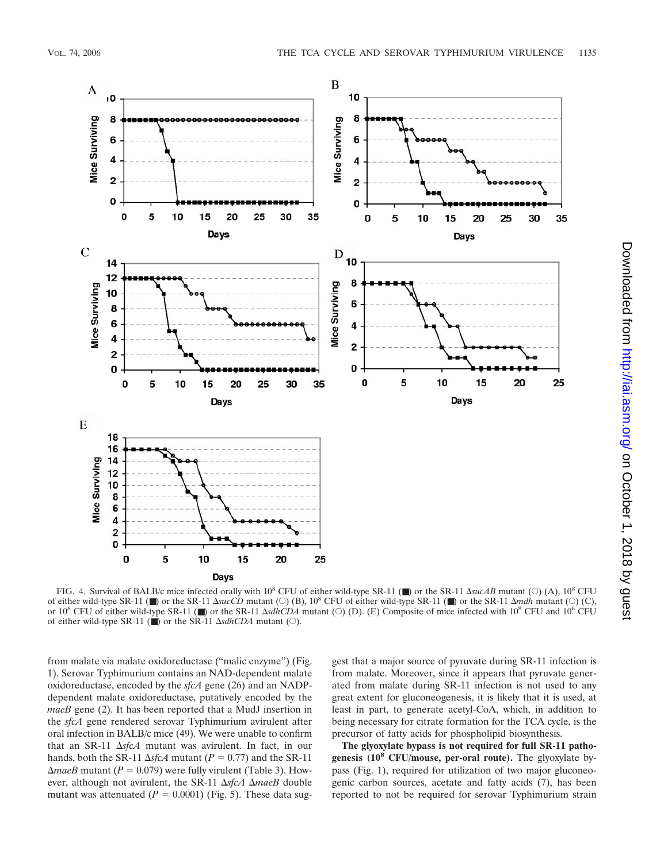

FIG. 4. Survival of BALB/c mice infected orally with  $10^8$  CFU of either wild-type SR-11 ( $\blacksquare$ ) or the SR-11  $\Delta$ sucAB mutant ( $\bigcirc$ ) (A),  $10^8$  CFU of either wild-type SR-11 (■) or the SR-11  $\Delta succD$  mutant (○) (B), 10<sup>8</sup> CFU of either wild-type SR-11 (■) or the SR-11  $\Delta mdh$  mutant (○) (C), or  $10^8$  CFU of either wild-type SR-11 ( $\blacksquare$ ) or the SR-11  $\Delta$ sdhCDA mutant ( $\bigcirc$ ) (D). (E) Composite of mice infected with 10<sup>8</sup> CFU and 10<sup>6</sup> CFU of either wild-type SR-11 ( $\blacksquare$ ) or the SR-11  $\Delta$ sdhCDA mutant ( $\bigcirc$ ).

from malate via malate oxidoreductase ("malic enzyme") (Fig. 1). Serovar Typhimurium contains an NAD-dependent malate oxidoreductase, encoded by the *sfcA* gene (26) and an NADPdependent malate oxidoreductase, putatively encoded by the *maeB* gene (2). It has been reported that a MudJ insertion in the *sfcA* gene rendered serovar Typhimurium avirulent after oral infection in BALB/c mice (49). We were unable to confirm that an SR-11  $\Delta s$ *fcA* mutant was avirulent. In fact, in our hands, both the SR-11  $\Delta$ *sfcA* mutant ( $P = 0.77$ ) and the SR-11  $\Delta maeB$  mutant ( $P = 0.079$ ) were fully virulent (Table 3). However, although not avirulent, the SR-11  $\Delta$ sfcA  $\Delta$ maeB double mutant was attenuated  $(P = 0.0001)$  (Fig. 5). These data suggest that a major source of pyruvate during SR-11 infection is from malate. Moreover, since it appears that pyruvate generated from malate during SR-11 infection is not used to any great extent for gluconeogenesis, it is likely that it is used, at least in part, to generate acetyl-CoA, which, in addition to being necessary for citrate formation for the TCA cycle, is the precursor of fatty acids for phospholipid biosynthesis.

**The glyoxylate bypass is not required for full SR-11 pathogenesis (108 CFU/mouse, per-oral route).** The glyoxylate bypass (Fig. 1), required for utilization of two major gluconeogenic carbon sources, acetate and fatty acids (7), has been reported to not be required for serovar Typhimurium strain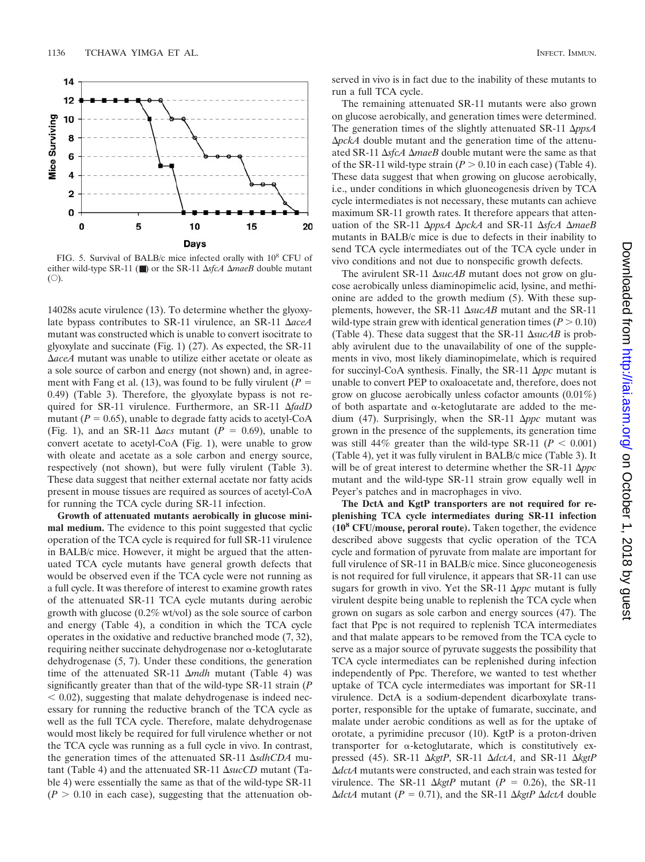

FIG. 5. Survival of BALB/c mice infected orally with 108 CFU of either wild-type SR-11 ( $\blacksquare$ ) or the SR-11  $\Delta$ sfcA  $\Delta$ *maeB* double mutant  $(O).$ 

14028s acute virulence (13). To determine whether the glyoxylate bypass contributes to SR-11 virulence, an SR-11 *aceA* mutant was constructed which is unable to convert isocitrate to glyoxylate and succinate (Fig. 1) (27). As expected, the SR-11 *aceA* mutant was unable to utilize either acetate or oleate as a sole source of carbon and energy (not shown) and, in agreement with Fang et al. (13), was found to be fully virulent ( $P =$ 0.49) (Table 3). Therefore, the glyoxylate bypass is not required for SR-11 virulence. Furthermore, an SR-11 *fadD* mutant  $(P = 0.65)$ , unable to degrade fatty acids to acetyl-CoA (Fig. 1), and an SR-11  $\Delta acs$  mutant ( $P = 0.69$ ), unable to convert acetate to acetyl-CoA (Fig. 1), were unable to grow with oleate and acetate as a sole carbon and energy source, respectively (not shown), but were fully virulent (Table 3). These data suggest that neither external acetate nor fatty acids present in mouse tissues are required as sources of acetyl-CoA for running the TCA cycle during SR-11 infection.

**Growth of attenuated mutants aerobically in glucose minimal medium.** The evidence to this point suggested that cyclic operation of the TCA cycle is required for full SR-11 virulence in BALB/c mice. However, it might be argued that the attenuated TCA cycle mutants have general growth defects that would be observed even if the TCA cycle were not running as a full cycle. It was therefore of interest to examine growth rates of the attenuated SR-11 TCA cycle mutants during aerobic growth with glucose (0.2% wt/vol) as the sole source of carbon and energy (Table 4), a condition in which the TCA cycle operates in the oxidative and reductive branched mode (7, 32), requiring neither succinate dehydrogenase nor  $\alpha$ -ketoglutarate dehydrogenase (5, 7). Under these conditions, the generation time of the attenuated SR-11  $\Delta$ mdh mutant (Table 4) was significantly greater than that of the wild-type SR-11 strain (*P*  $0.02$ , suggesting that malate dehydrogenase is indeed necessary for running the reductive branch of the TCA cycle as well as the full TCA cycle. Therefore, malate dehydrogenase would most likely be required for full virulence whether or not the TCA cycle was running as a full cycle in vivo. In contrast, the generation times of the attenuated SR-11  $\Delta$ *sdhCDA* mutant (Table 4) and the attenuated SR-11  $\Delta succCD$  mutant (Table 4) were essentially the same as that of the wild-type SR-11  $(P > 0.10$  in each case), suggesting that the attenuation observed in vivo is in fact due to the inability of these mutants to run a full TCA cycle.

The remaining attenuated SR-11 mutants were also grown on glucose aerobically, and generation times were determined. The generation times of the slightly attenuated SR-11  $\Delta p$ psA *ΔpckA* double mutant and the generation time of the attenuated SR-11  $\Delta$ *sfcA*  $\Delta$ *maeB* double mutant were the same as that of the SR-11 wild-type strain  $(P > 0.10$  in each case) (Table 4). These data suggest that when growing on glucose aerobically, i.e., under conditions in which gluoneogenesis driven by TCA cycle intermediates is not necessary, these mutants can achieve maximum SR-11 growth rates. It therefore appears that attenuation of the SR-11 ΔppsA ΔpckA and SR-11 ΔsfcA ΔmaeB mutants in BALB/c mice is due to defects in their inability to send TCA cycle intermediates out of the TCA cycle under in vivo conditions and not due to nonspecific growth defects.

The avirulent SR-11  $\Delta$ *sucAB* mutant does not grow on glucose aerobically unless diaminopimelic acid, lysine, and methionine are added to the growth medium (5). With these supplements, however, the SR-11  $\Delta$ sucAB mutant and the SR-11 wild-type strain grew with identical generation times  $(P > 0.10)$ (Table 4). These data suggest that the SR-11  $\Delta succAB$  is probably avirulent due to the unavailability of one of the supplements in vivo, most likely diaminopimelate, which is required for succinyl-CoA synthesis. Finally, the SR-11  $\Delta ppc$  mutant is unable to convert PEP to oxaloacetate and, therefore, does not grow on glucose aerobically unless cofactor amounts (0.01%) of both aspartate and  $\alpha$ -ketoglutarate are added to the medium (47). Surprisingly, when the SR-11  $\Delta ppc$  mutant was grown in the presence of the supplements, its generation time was still 44% greater than the wild-type SR-11 ( $P < 0.001$ ) (Table 4), yet it was fully virulent in BALB/c mice (Table 3). It will be of great interest to determine whether the SR-11  $\Delta ppc$ mutant and the wild-type SR-11 strain grow equally well in Peyer's patches and in macrophages in vivo.

**The DctA and KgtP transporters are not required for replenishing TCA cycle intermediates during SR-11 infection (108 CFU/mouse, peroral route).** Taken together, the evidence described above suggests that cyclic operation of the TCA cycle and formation of pyruvate from malate are important for full virulence of SR-11 in BALB/c mice. Since gluconeogenesis is not required for full virulence, it appears that SR-11 can use sugars for growth in vivo. Yet the SR-11  $\Delta ppc$  mutant is fully virulent despite being unable to replenish the TCA cycle when grown on sugars as sole carbon and energy sources (47). The fact that Ppc is not required to replenish TCA intermediates and that malate appears to be removed from the TCA cycle to serve as a major source of pyruvate suggests the possibility that TCA cycle intermediates can be replenished during infection independently of Ppc. Therefore, we wanted to test whether uptake of TCA cycle intermediates was important for SR-11 virulence. DctA is a sodium-dependent dicarboxylate transporter, responsible for the uptake of fumarate, succinate, and malate under aerobic conditions as well as for the uptake of orotate, a pyrimidine precusor (10). KgtP is a proton-driven transporter for  $\alpha$ -ketoglutarate, which is constitutively expressed (45). SR-11  $\Delta kgtP$ , SR-11  $\Delta dctA$ , and SR-11  $\Delta kgtP$ *dctA* mutants were constructed, and each strain was tested for virulence. The SR-11  $\Delta kgtP$  mutant ( $P = 0.26$ ), the SR-11  $\Delta \text{dctA}$  mutant ( $P = 0.71$ ), and the SR-11  $\Delta \text{kgtP}$   $\Delta \text{dctA}$  double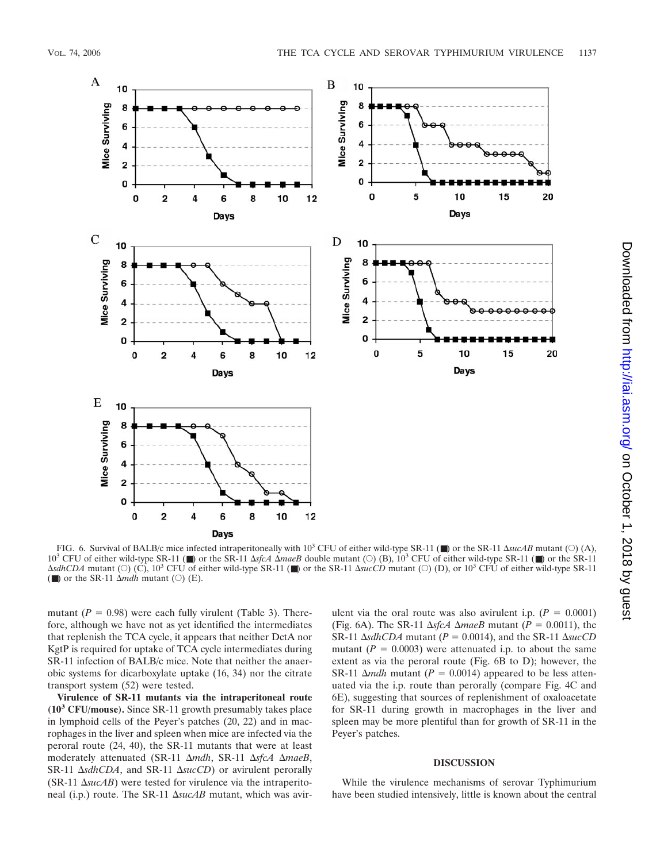

FIG. 6. Survival of BALB/c mice infected intraperitoneally with  $10^3$  CFU of either wild-type SR-11 ( $\blacksquare$ ) or the SR-11  $\Delta$ *sucAB* mutant ( $\bigcirc$ ) (A), 10<sup>3</sup> CFU of either wild-type SR-11 (■) or the SR-11  $\Delta$ sfcA  $\Delta$ maeB double mutant (○) (B), 10<sup>3</sup> CFU of either wild-type SR-11 (■) or the SR-11 *sdhCDA* mutant (○) (C), 10<sup>3</sup> CFU of either wild-type SR-11 (■) or the SR-11 *sucCD* mutant (○) (D), or 10<sup>3</sup> CFU of either wild-type SR-11 ( $\blacksquare$ ) or the SR-11  $\Delta$ *mdh* mutant ( $\bigcirc$ ) (E).

mutant  $(P = 0.98)$  were each fully virulent (Table 3). Therefore, although we have not as yet identified the intermediates that replenish the TCA cycle, it appears that neither DctA nor KgtP is required for uptake of TCA cycle intermediates during SR-11 infection of BALB/c mice. Note that neither the anaerobic systems for dicarboxylate uptake (16, 34) nor the citrate transport system (52) were tested.

**Virulence of SR-11 mutants via the intraperitoneal route (10<sup>3</sup> CFU/mouse).** Since SR-11 growth presumably takes place in lymphoid cells of the Peyer's patches (20, 22) and in macrophages in the liver and spleen when mice are infected via the peroral route (24, 40), the SR-11 mutants that were at least moderately attenuated (SR-11 Δmdh, SR-11 ΔsfcA ΔmaeB, SR-11  $\Delta$ *sdhCDA*, and SR-11  $\Delta$ *sucCD*) or avirulent perorally  $(SR-11 \Delta succAB)$  were tested for virulence via the intraperitoneal (i.p.) route. The SR-11 ΔsucAB mutant, which was avirulent via the oral route was also avirulent i.p.  $(P = 0.0001)$ (Fig. 6A). The SR-11  $\Delta$ sfcA  $\Delta$ *maeB* mutant ( $P = 0.0011$ ), the SR-11  $\Delta$ *sdhCDA* mutant ( $P = 0.0014$ ), and the SR-11  $\Delta$ *sucCD* mutant  $(P = 0.0003)$  were attenuated i.p. to about the same extent as via the peroral route (Fig. 6B to D); however, the SR-11  $\Delta$ *mdh* mutant (*P* = 0.0014) appeared to be less attenuated via the i.p. route than perorally (compare Fig. 4C and 6E), suggesting that sources of replenishment of oxaloacetate for SR-11 during growth in macrophages in the liver and spleen may be more plentiful than for growth of SR-11 in the Peyer's patches.

#### **DISCUSSION**

While the virulence mechanisms of serovar Typhimurium have been studied intensively, little is known about the central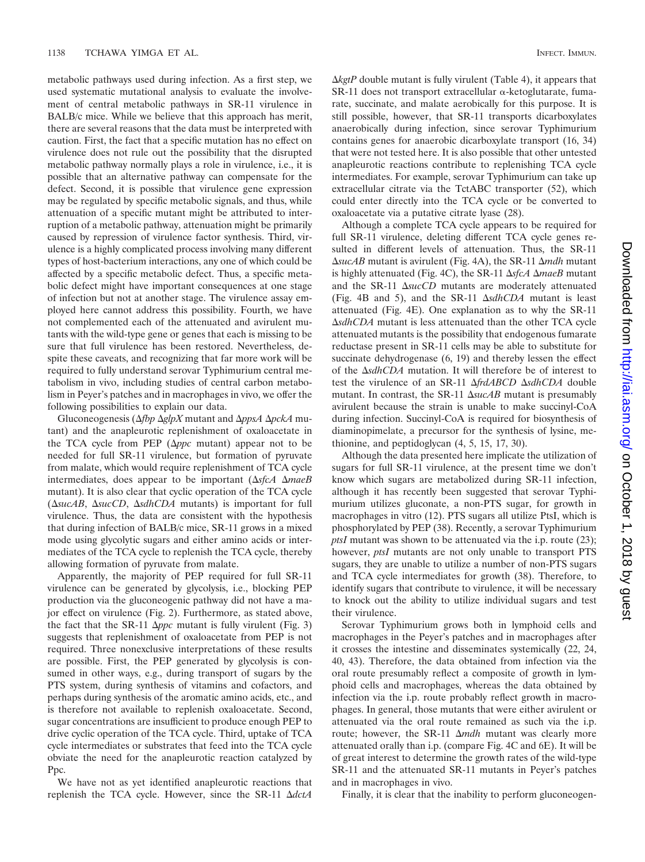metabolic pathways used during infection. As a first step, we used systematic mutational analysis to evaluate the involvement of central metabolic pathways in SR-11 virulence in BALB/c mice. While we believe that this approach has merit, there are several reasons that the data must be interpreted with caution. First, the fact that a specific mutation has no effect on virulence does not rule out the possibility that the disrupted metabolic pathway normally plays a role in virulence, i.e., it is possible that an alternative pathway can compensate for the defect. Second, it is possible that virulence gene expression may be regulated by specific metabolic signals, and thus, while attenuation of a specific mutant might be attributed to interruption of a metabolic pathway, attenuation might be primarily caused by repression of virulence factor synthesis. Third, virulence is a highly complicated process involving many different types of host-bacterium interactions, any one of which could be affected by a specific metabolic defect. Thus, a specific metabolic defect might have important consequences at one stage of infection but not at another stage. The virulence assay employed here cannot address this possibility. Fourth, we have not complemented each of the attenuated and avirulent mutants with the wild-type gene or genes that each is missing to be sure that full virulence has been restored. Nevertheless, despite these caveats, and recognizing that far more work will be required to fully understand serovar Typhimurium central metabolism in vivo, including studies of central carbon metabolism in Peyer's patches and in macrophages in vivo, we offer the following possibilities to explain our data.

Gluconeogenesis (Δ*fbp ΔglpX* mutant and *ΔppsA ΔpckA* mutant) and the anapleurotic replenishment of oxaloacetate in the TCA cycle from PEP  $(\Delta ppc$  mutant) appear not to be needed for full SR-11 virulence, but formation of pyruvate from malate, which would require replenishment of TCA cycle intermediates, does appear to be important  $(\Delta s f cA \Delta m a eB)$ mutant). It is also clear that cyclic operation of the TCA cycle (*sucAB*, *sucCD*, *sdhCDA* mutants) is important for full virulence. Thus, the data are consistent with the hypothesis that during infection of BALB/c mice, SR-11 grows in a mixed mode using glycolytic sugars and either amino acids or intermediates of the TCA cycle to replenish the TCA cycle, thereby allowing formation of pyruvate from malate.

Apparently, the majority of PEP required for full SR-11 virulence can be generated by glycolysis, i.e., blocking PEP production via the gluconeogenic pathway did not have a major effect on virulence (Fig. 2). Furthermore, as stated above, the fact that the SR-11  $\Delta ppc$  mutant is fully virulent (Fig. 3) suggests that replenishment of oxaloacetate from PEP is not required. Three nonexclusive interpretations of these results are possible. First, the PEP generated by glycolysis is consumed in other ways, e.g., during transport of sugars by the PTS system, during synthesis of vitamins and cofactors, and perhaps during synthesis of the aromatic amino acids, etc., and is therefore not available to replenish oxaloacetate. Second, sugar concentrations are insufficient to produce enough PEP to drive cyclic operation of the TCA cycle. Third, uptake of TCA cycle intermediates or substrates that feed into the TCA cycle obviate the need for the anapleurotic reaction catalyzed by P<sub>pc</sub>

We have not as yet identified anapleurotic reactions that replenish the TCA cycle. However, since the SR-11 ΔdctA

 $\Delta$ *kgtP* double mutant is fully virulent (Table 4), it appears that  $SR-11$  does not transport extracellular  $\alpha$ -ketoglutarate, fumarate, succinate, and malate aerobically for this purpose. It is still possible, however, that SR-11 transports dicarboxylates anaerobically during infection, since serovar Typhimurium contains genes for anaerobic dicarboxylate transport (16, 34) that were not tested here. It is also possible that other untested anapleurotic reactions contribute to replenishing TCA cycle intermediates. For example, serovar Typhimurium can take up extracellular citrate via the TctABC transporter (52), which could enter directly into the TCA cycle or be converted to oxaloacetate via a putative citrate lyase (28).

Although a complete TCA cycle appears to be required for full SR-11 virulence, deleting different TCA cycle genes resulted in different levels of attenuation. Thus, the SR-11 *sucAB* mutant is avirulent (Fig. 4A), the SR-11 *mdh* mutant is highly attenuated (Fig. 4C), the SR-11  $\Delta$ sfcA  $\Delta$ *maeB* mutant and the SR-11  $\Delta succCD$  mutants are moderately attenuated (Fig. 4B and 5), and the SR-11  $\Delta$ sdhCDA mutant is least attenuated (Fig. 4E). One explanation as to why the SR-11 *sdhCDA* mutant is less attenuated than the other TCA cycle attenuated mutants is the possibility that endogenous fumarate reductase present in SR-11 cells may be able to substitute for succinate dehydrogenase  $(6, 19)$  and thereby lessen the effect of the  $\Delta$ sdhCDA mutation. It will therefore be of interest to test the virulence of an SR-11  $\Delta frdABCD \Delta sdhCDA$  double mutant. In contrast, the SR-11  $\Delta$ *sucAB* mutant is presumably avirulent because the strain is unable to make succinyl-CoA during infection. Succinyl-CoA is required for biosynthesis of diaminopimelate, a precursor for the synthesis of lysine, methionine, and peptidoglycan (4, 5, 15, 17, 30).

Although the data presented here implicate the utilization of sugars for full SR-11 virulence, at the present time we don't know which sugars are metabolized during SR-11 infection, although it has recently been suggested that serovar Typhimurium utilizes gluconate, a non-PTS sugar, for growth in macrophages in vitro (12). PTS sugars all utilize PtsI, which is phosphorylated by PEP (38). Recently, a serovar Typhimurium *ptsI* mutant was shown to be attenuated via the i.p. route (23); however, *ptsI* mutants are not only unable to transport PTS sugars, they are unable to utilize a number of non-PTS sugars and TCA cycle intermediates for growth (38). Therefore, to identify sugars that contribute to virulence, it will be necessary to knock out the ability to utilize individual sugars and test their virulence.

Serovar Typhimurium grows both in lymphoid cells and macrophages in the Peyer's patches and in macrophages after it crosses the intestine and disseminates systemically (22, 24, 40, 43). Therefore, the data obtained from infection via the oral route presumably reflect a composite of growth in lymphoid cells and macrophages, whereas the data obtained by infection via the i.p. route probably reflect growth in macrophages. In general, those mutants that were either avirulent or attenuated via the oral route remained as such via the i.p. route; however, the SR-11 Δmdh mutant was clearly more attenuated orally than i.p. (compare Fig. 4C and 6E). It will be of great interest to determine the growth rates of the wild-type SR-11 and the attenuated SR-11 mutants in Peyer's patches and in macrophages in vivo.

Finally, it is clear that the inability to perform gluconeogen-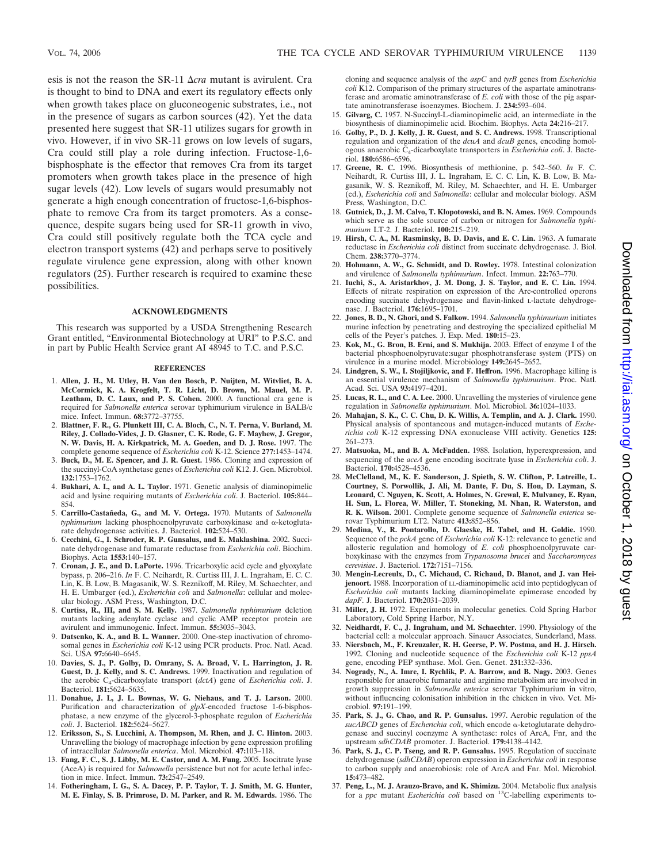esis is not the reason the SR-11  $\Delta$ *cra* mutant is avirulent. Cra is thought to bind to DNA and exert its regulatory effects only when growth takes place on gluconeogenic substrates, i.e., not in the presence of sugars as carbon sources (42). Yet the data presented here suggest that SR-11 utilizes sugars for growth in vivo. However, if in vivo SR-11 grows on low levels of sugars, Cra could still play a role during infection. Fructose-1,6 bisphosphate is the effector that removes Cra from its target promoters when growth takes place in the presence of high sugar levels (42). Low levels of sugars would presumably not generate a high enough concentration of fructose-1,6-bisphosphate to remove Cra from its target promoters. As a consequence, despite sugars being used for SR-11 growth in vivo, Cra could still positively regulate both the TCA cycle and electron transport systems (42) and perhaps serve to positively regulate virulence gene expression, along with other known regulators (25). Further research is required to examine these possibilities.

#### **ACKNOWLEDGMENTS**

This research was supported by a USDA Strengthening Research Grant entitled, "Environmental Biotechnology at URI" to P.S.C. and in part by Public Health Service grant AI 48945 to T.C. and P.S.C.

#### **REFERENCES**

- 1. **Allen, J. H., M. Utley, H. Van den Bosch, P. Nuijten, M. Witvliet, B. A. McCormick, K. A. Krogfelt, T. R. Licht, D. Brown, M. Mauel, M. P. Leatham, D. C. Laux, and P. S. Cohen.** 2000. A functional cra gene is required for *Salmonella enterica* serovar typhimurium virulence in BALB/c mice. Infect. Immun. **68:**3772–37755.
- 2. **Blattner, F. R., G. Plunkett III, C. A. Bloch, C., N. T. Perna, V. Burland, M. Riley, J. Collado-Vides, J. D. Glasner, C. K. Rode, G. F. Mayhew, J. Gregor, N. W. Davis, H. A. Kirkpatrick, M. A. Goeden, and D. J. Rose.** 1997. The complete genome sequence of *Escherichia coli* K-12. Science **277:**1453–1474.
- 3. **Buck, D., M. E. Spencer, and J. R. Guest.** 1986. Cloning and expression of the succinyl-CoA synthetase genes of *Escherichia coli* K12. J. Gen. Microbiol. **132:**1753–1762.
- 4. **Bukhari, A. I., and A. L. Taylor.** 1971. Genetic analysis of diaminopimelic acid and lysine requiring mutants of *Escherichia coli*. J. Bacteriol. **105:**844– 854.
- 5. **Carrillo-Castañeda, G., and M. V. Ortega.** 1970. Mutants of *Salmonella*  $t$ yphimurium lacking phosphoenolpyruvate carboxykinase and  $\alpha$ -ketoglutarate dehydrogenase activities. J. Bacteriol. **102:**524–530.
- 6. **Cecchini, G., I. Schroder, R. P. Gunsalus, and E. Maklashina.** 2002. Succinate dehydrogenase and fumarate reductase from *Escherichia coli*. Biochim. Biophys. Acta **1553:**140–157.
- 7. **Cronan, J. E., and D. LaPorte.** 1996. Tricarboxylic acid cycle and glyoxylate bypass, p. 206–216. *In* F. C. Neihardt, R. Curtiss III, J. L. Ingraham, E. C. C. Lin, K. B. Low, B. Magasanik, W. S. Reznikoff, M. Riley, M. Schaechter, and H. E. Umbarger (ed.), *Escherichia coli* and *Salmonella*: cellular and molecular biology. ASM Press, Washington, D.C.
- 8. **Curtiss, R., III, and S. M. Kelly.** 1987. *Salmonella typhimurium* deletion mutants lacking adenylate cyclase and cyclic AMP receptor protein are avirulent and immunogenic. Infect. Immun. **55:**3035–3043.
- 9. **Datsenko, K. A., and B. L. Wanner.** 2000. One-step inactivation of chromosomal genes in *Escherichia coli* K-12 using PCR products. Proc. Natl. Acad. Sci. USA **97:**6640–6645.
- 10. **Davies, S. J., P. Golby, D. Omrany, S. A. Broad, V. L. Harrington, J. R. Guest, D. J. Kelly, and S. C. Andrews.** 1999. Inactivation and regulation of the aerobic C4-dicarboxylate transport (*dctA*) gene of *Escherichia coli*. J. Bacteriol. **181:**5624–5635.
- 11. **Donahue, J. L, J. L. Bownas, W. G. Niehaus, and T. J. Larson.** 2000. Purification and characterization of *glpX*-encoded fructose 1-6-bisphosphatase, a new enzyme of the glycerol-3-phosphate regulon of *Escherichia coli*. J. Bacteriol. **182:**5624–5627.
- 12. **Eriksson, S., S. Lucchini, A. Thompson, M. Rhen, and J. C. Hinton.** 2003. Unravelling the biology of macrophage infection by gene expression profiling of intracellular *Salmonella enterica*. Mol. Microbiol. **47:**103–118.
- 13. **Fang, F. C., S. J. Libby, M. E. Castor, and A. M. Fung.** 2005. Isocitrate lyase (AceA) is required for *Salmonella* persistence but not for acute lethal infection in mice. Infect. Immun. **73:**2547–2549.
- 14. **Fotheringham, I. G., S. A. Dacey, P. P. Taylor, T. J. Smith, M. G. Hunter, M. E. Finlay, S. B. Primrose, D. M. Parker, and R. M. Edwards.** 1986. The

cloning and sequence analysis of the *aspC* and *tyrB* genes from *Escherichia coli* K12. Comparison of the primary structures of the aspartate aminotransferase and aromatic aminotransferase of *E. coli* with those of the pig aspartate aminotransferase isoenzymes. Biochem. J. **234:**593–604.

- 15. **Gilvarg, C.** 1957. N-Succinyl-L-diaminopimelic acid, an intermediate in the biosynthesis of diaminopimelic acid. Biochim. Biophys. Acta **24:**216–217.
- 16. **Golby, P., D. J. Kelly, J. R. Guest, and S. C. Andrews.** 1998. Transcriptional regulation and organization of the *dcuA* and *dcuB* genes, encoding homologous anaerobic C4-dicarboxylate transporters in *Escherichia coli*. J. Bacteriol. **180:**6586–6596.
- 17. **Greene, R. C.** 1996. Biosynthesis of methionine, p. 542–560. *In* F. C. Neihardt, R. Curtiss III, J. L. Ingraham, E. C. C. Lin, K. B. Low, B. Magasanik, W. S. Reznikoff, M. Riley, M. Schaechter, and H. E. Umbarger (ed.), *Escherichia coli* and *Salmonella*: cellular and molecular biology. ASM Press, Washington, D.C.
- 18. **Gutnick, D., J. M. Calvo, T. Klopotowski, and B. N. Ames.** 1969. Compounds which serve as the sole source of carbon or nitrogen for *Salmonella typhimurium* LT-2. J. Bacteriol. **100:**215–219.
- 19. **Hirsh, C. A., M. Rasminsky, B. D. Davis, and E. C. Lin.** 1963. A fumarate reductase in *Escherichia coli* distinct from succinate dehydrogenase. J. Biol. Chem. **238:**3770–3774.
- 20. **Hohmann, A. W., G. Schmidt, and D. Rowley.** 1978. Intestinal colonization and virulence of *Salmonella typhimurium*. Infect. Immun. **22:**763–770.
- 21. **Iuchi, S., A. Aristarkhov, J. M. Dong, J. S. Taylor, and E. C. Lin.** 1994. Effects of nitrate respiration on expression of the Arc-controlled operons encoding succinate dehydrogenase and flavin-linked L-lactate dehydrogenase. J. Bacteriol. **176:**1695–1701.
- 22. **Jones, B. D., N. Ghori, and S. Falkow.** 1994. *Salmonella typhimurium* initiates murine infection by penetrating and destroying the specialized epithelial M cells of the Peyer's patches. J. Exp. Med. **180:**15–23.
- 23. **Kok, M., G. Bron, B. Erni, and S. Mukhija.** 2003. Effect of enzyme I of the bacterial phosphoenolpyruvate:sugar phosphotransferase system (PTS) on virulence in a murine model. Microbiology **149:**2645–2652.
- 24. **Lindgren, S. W., I. Stojiljkovic, and F. Heffron.** 1996. Macrophage killing is an essential virulence mechanism of *Salmonella typhimurium*. Proc. Natl. Acad. Sci. USA **93:**4197–4201.
- 25. **Lucas, R. L., and C. A. Lee.** 2000. Unravelling the mysteries of virulence gene regulation in *Salmonella typhimurium*. Mol. Microbiol. **36:**1024–1033.
- 26. **Mahajan, S. K., C. C. Chu, D. K. Willis, A. Templin, and A. J. Clark.** 1990. Physical analysis of spontaneous and mutagen-induced mutants of *Escherichia coli* K-12 expressing DNA exonuclease VIII activity. Genetics **125:** 261–273.
- 27. **Matsuoka, M., and B. A. McFadden.** 1988. Isolation, hyperexpression, and sequencing of the *aceA* gene encoding isocitrate lyase in *Escherichia coli*. J. Bacteriol. **170:**4528–4536.
- 28. **McClelland, M., K. E. Sanderson, J. Spieth, S. W. Clifton, P. Latreille, L. Courtney, S. Porwollik, J. Ali, M. Dante, F. Du, S. Hou, D. Layman, S. Leonard, C. Nguyen, K. Scott, A. Holmes, N. Grewal, E. Mulvaney, E. Ryan, H. Sun, L. Florea, W. Miller, T. Stoneking, M. Nhan, R. Waterston, and R. K. Wilson.** 2001. Complete genome sequence of *Salmonella enterica* serovar Typhimurium LT2. Nature **413:**852–856.
- 29. **Medina, V., R. Pontarollo, D. Glaeske, H. Tabel, and H. Goldie.** 1990. Sequence of the *pckA* gene of *Escherichia coli* K-12: relevance to genetic and allosteric regulation and homology of *E. coli* phosphoenolpyruvate carboxykinase with the enzymes from *Trypanosoma brucei* and *Saccharomyces cerevisiae*. J. Bacteriol. **172:**7151–7156.
- 30. **Mengin-Lecreulx, D., C. Michaud, C. Richaud, D. Blanot, and J. van Heijenoort.** 1988. Incorporation of LL-diaminopimelic acid into peptidoglycan of *Escherichia coli* mutants lacking diaminopimelate epimerase encoded by *dapF*. J. Bacteriol. **170:**2031–2039.
- 31. **Miller, J. H.** 1972. Experiments in molecular genetics. Cold Spring Harbor Laboratory, Cold Spring Harbor, N.Y.
- 32. **Neidhardt, F. C., J. Ingraham, and M. Schaechter.** 1990. Physiology of the bacterial cell: a molecular approach. Sinauer Associates, Sunderland, Mass.
- 33. **Niersbach, M., F. Kreuzaler, R. H. Geerse, P. W. Postma, and H. J. Hirsch.** 1992. Cloning and nucleotide sequence of the *Escherichia coli* K-12 *ppsA* gene, encoding PEP synthase. Mol. Gen. Genet. **231:**332–336.
- 34. **Nogrady, N., A. Imre, I. Rychlik, P. A. Barrow, and B. Nagy.** 2003. Genes responsible for anaerobic fumarate and arginine metabolism are involved in growth suppression in *Salmonella enterica* serovar Typhimurium in vitro, without influencing colonisation inhibition in the chicken in vivo. Vet. Microbiol. **97:**191–199.
- 35. **Park, S. J., G. Chao, and R. P. Gunsalus.** 1997. Aerobic regulation of the *sucABCD* genes of *Escherichia coli*, which encode α-ketoglutarate dehydrogenase and succinyl coenzyme A synthetase: roles of ArcA, Fnr, and the upstream *sdhCDAB* promoter. J. Bacteriol. **179:**4138–4142.
- 36. **Park, S. J., C. P. Tseng, and R. P. Gunsalus.** 1995. Regulation of succinate dehydrogenase (*sdhCDAB*) operon expression in *Escherichia coli* in response to carbon supply and anaerobiosis: role of ArcA and Fnr. Mol. Microbiol. **15:**473–482.
- 37. **Peng, L., M. J. Arauzo-Bravo, and K. Shimizu.** 2004. Metabolic flux analysis for a *ppc* mutant *Escherichia coli* based on 13C-labelling experiments to-